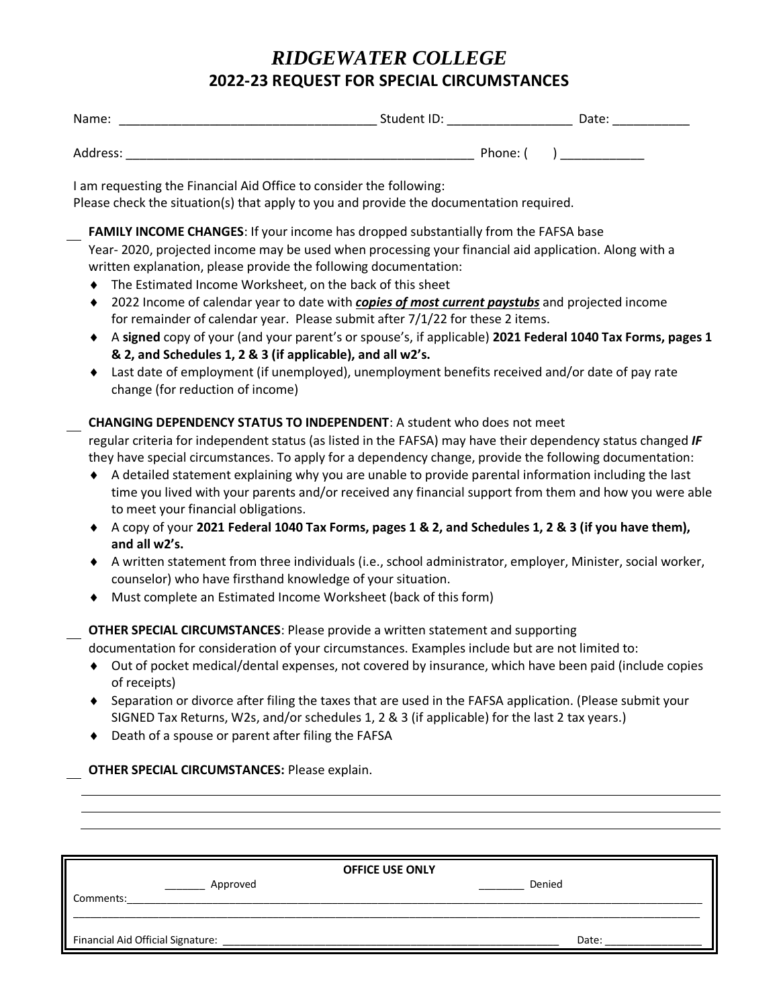## *RIDGEWATER COLLEGE* **2022-23 REQUEST FOR SPECIAL CIRCUMSTANCES**

| $\mathbf{A}$<br>$\sim$ 1.00 $\sim$<br>Name.<br>_______ | ___<br>_______<br>____<br>_ | od i "<br>___<br>_____________<br>____ |
|--------------------------------------------------------|-----------------------------|----------------------------------------|
|                                                        |                             |                                        |

Address: \_\_\_\_\_\_\_\_\_\_\_\_\_\_\_\_\_\_\_\_\_\_\_\_\_\_\_\_\_\_\_\_\_\_\_\_\_\_\_\_\_\_\_\_\_\_\_\_\_\_ Phone: ( ) \_\_\_\_\_\_\_\_\_\_\_\_

I am requesting the Financial Aid Office to consider the following:

Please check the situation(s) that apply to you and provide the documentation required.

**FAMILY INCOME CHANGES**: If your income has dropped substantially from the FAFSA base Year- 2020, projected income may be used when processing your financial aid application. Along with a written explanation, please provide the following documentation:

- ◆ The Estimated Income Worksheet, on the back of this sheet
- 2022 Income of calendar year to date with *copies of most current paystubs* and projected income for remainder of calendar year. Please submit after 7/1/22 for these 2 items.
- A **signed** copy of your (and your parent's or spouse's, if applicable) **2021 Federal 1040 Tax Forms, pages 1 & 2, and Schedules 1, 2 & 3 (if applicable), and all w2's.**
- Last date of employment (if unemployed), unemployment benefits received and/or date of pay rate change (for reduction of income)

#### **CHANGING DEPENDENCY STATUS TO INDEPENDENT**: A student who does not meet

regular criteria for independent status (as listed in the FAFSA) may have their dependency status changed *IF* they have special circumstances. To apply for a dependency change, provide the following documentation:

- A detailed statement explaining why you are unable to provide parental information including the last time you lived with your parents and/or received any financial support from them and how you were able to meet your financial obligations.
- A copy of your **2021 Federal 1040 Tax Forms, pages 1 & 2, and Schedules 1, 2 & 3 (if you have them), and all w2's.**
- A written statement from three individuals (i.e., school administrator, employer, Minister, social worker, counselor) who have firsthand knowledge of your situation.
- Must complete an Estimated Income Worksheet (back of this form)

### **OTHER SPECIAL CIRCUMSTANCES**: Please provide a written statement and supporting

documentation for consideration of your circumstances. Examples include but are not limited to:

- Out of pocket medical/dental expenses, not covered by insurance, which have been paid (include copies of receipts)
- Separation or divorce after filing the taxes that are used in the FAFSA application. (Please submit your SIGNED Tax Returns, W2s, and/or schedules 1, 2 & 3 (if applicable) for the last 2 tax years.)
- ◆ Death of a spouse or parent after filing the FAFSA

#### **OTHER SPECIAL CIRCUMSTANCES:** Please explain.

| <b>OFFICE USE ONLY</b>            |        |  |  |  |
|-----------------------------------|--------|--|--|--|
| Approved                          | Denied |  |  |  |
| Comments:                         |        |  |  |  |
|                                   |        |  |  |  |
| Financial Aid Official Signature: | Date:  |  |  |  |